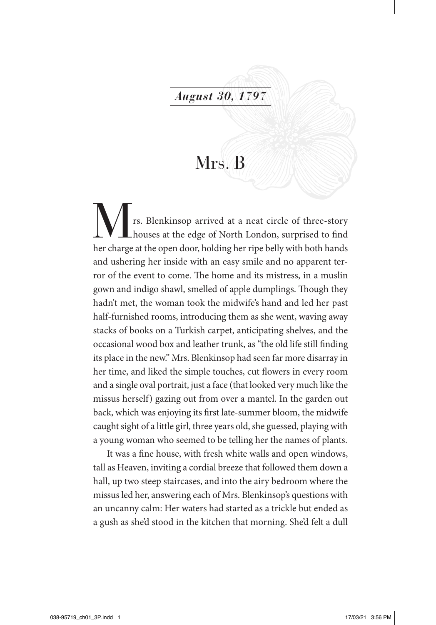# *August 30, 1797*

# Mrs. B

rs. Blenkinsop arrived at a neat circle of three-story Lhouses at the edge of North London, surprised to find her charge at the open door, holding her ripe belly with both hands and ushering her inside with an easy smile and no apparent terror of the event to come. The home and its mistress, in a muslin gown and indigo shawl, smelled of apple dumplings. Though they hadn't met, the woman took the midwife's hand and led her past half-furnished rooms, introducing them as she went, waving away stacks of books on a Turkish carpet, anticipating shelves, and the occasional wood box and leather trunk, as "the old life still finding its place in the new." Mrs. Blenkinsop had seen far more disarray in her time, and liked the simple touches, cut flowers in every room and a single oval portrait, just a face (that looked very much like the missus herself) gazing out from over a mantel. In the garden out back, which was enjoying its first late-summer bloom, the midwife caught sight of a little girl, three years old, she guessed, playing with a young woman who seemed to be telling her the names of plants.

It was a fine house, with fresh white walls and open windows, tall as Heaven, inviting a cordial breeze that followed them down a hall, up two steep staircases, and into the airy bedroom where the missus led her, answering each of Mrs. Blenkinsop's questions with an uncanny calm: Her waters had started as a trickle but ended as a gush as she'd stood in the kitchen that morning. She'd felt a dull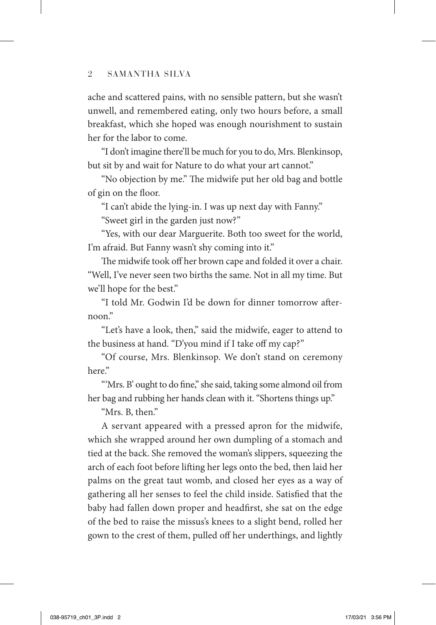ache and scattered pains, with no sensible pattern, but she wasn't unwell, and remembered eating, only two hours before, a small breakfast, which she hoped was enough nourishment to sustain her for the labor to come.

"I don't imagine there'll be much for you to do, Mrs. Blenkinsop, but sit by and wait for Nature to do what your art cannot."

"No objection by me." The midwife put her old bag and bottle of gin on the floor.

"I can't abide the lying-in. I was up next day with Fanny."

"Sweet girl in the garden just now?"

"Yes, with our dear Marguerite. Both too sweet for the world, I'm afraid. But Fanny wasn't shy coming into it."

The midwife took off her brown cape and folded it over a chair. "Well, I've never seen two births the same. Not in all my time. But we'll hope for the best."

"I told Mr. Godwin I'd be down for dinner tomorrow afternoon."

"Let's have a look, then," said the midwife, eager to attend to the business at hand. "D'you mind if I take off my cap?"

"Of course, Mrs. Blenkinsop. We don't stand on ceremony here."

"'Mrs. B' ought to do fine," she said, taking some almond oil from her bag and rubbing her hands clean with it. "Shortens things up."

"Mrs. B, then."

A servant appeared with a pressed apron for the midwife, which she wrapped around her own dumpling of a stomach and tied at the back. She removed the woman's slippers, squeezing the arch of each foot before lifting her legs onto the bed, then laid her palms on the great taut womb, and closed her eyes as a way of gathering all her senses to feel the child inside. Satisfied that the baby had fallen down proper and headfirst, she sat on the edge of the bed to raise the missus's knees to a slight bend, rolled her gown to the crest of them, pulled off her underthings, and lightly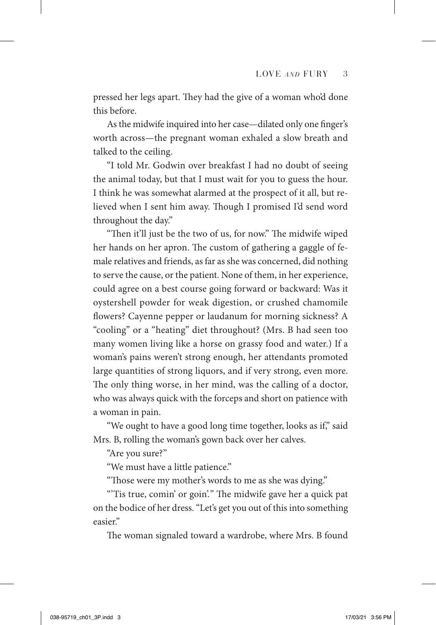pressed her legs apart. They had the give of a woman who'd done this before.

As the midwife inquired into her case—dilated only one finger's worth across—the pregnant woman exhaled a slow breath and talked to the ceiling.

"I told Mr. Godwin over breakfast I had no doubt of seeing the animal today, but that I must wait for you to guess the hour. I think he was somewhat alarmed at the prospect of it all, but relieved when I sent him away. Though I promised I'd send word throughout the day."

"Then it'll just be the two of us, for now." The midwife wiped her hands on her apron. The custom of gathering a gaggle of female relatives and friends, as far as she was concerned, did nothing to serve the cause, or the patient. None of them, in her experience, could agree on a best course going forward or backward: Was it oystershell powder for weak digestion, or crushed chamomile flowers? Cayenne pepper or laudanum for morning sickness? A "cooling" or a "heating" diet throughout? (Mrs. B had seen too many women living like a horse on grassy food and water.) If a woman's pains weren't strong enough, her attendants promoted large quantities of strong liquors, and if very strong, even more. The only thing worse, in her mind, was the calling of a doctor, who was always quick with the forceps and short on patience with a woman in pain.

"We ought to have a good long time together, looks as if," said Mrs. B, rolling the woman's gown back over her calves.

"Are you sure?"

"We must have a little patience."

"Those were my mother's words to me as she was dying."

"Tis true, comin' or goin'." The midwife gave her a quick pat on the bodice of her dress. "Let's get you out of this into something easier."

The woman signaled toward a wardrobe, where Mrs. B found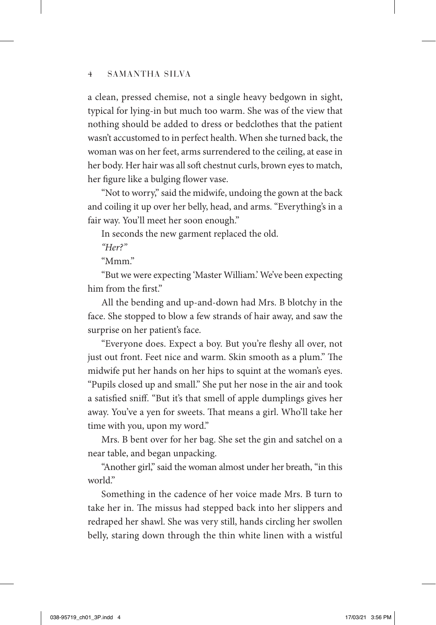a clean, pressed chemise, not a single heavy bedgown in sight, typical for lying-in but much too warm. She was of the view that nothing should be added to dress or bedclothes that the patient wasn't accustomed to in perfect health. When she turned back, the woman was on her feet, arms surrendered to the ceiling, at ease in her body. Her hair was all soft chestnut curls, brown eyes to match, her figure like a bulging flower vase.

"Not to worry," said the midwife, undoing the gown at the back and coiling it up over her belly, head, and arms. "Everything's in a fair way. You'll meet her soon enough."

In seconds the new garment replaced the old.

*"Her?"*

"Mmm."

"But we were expecting 'Master William.' We've been expecting him from the first."

All the bending and up-and-down had Mrs. B blotchy in the face. She stopped to blow a few strands of hair away, and saw the surprise on her patient's face.

"Everyone does. Expect a boy. But you're fleshy all over, not just out front. Feet nice and warm. Skin smooth as a plum." The midwife put her hands on her hips to squint at the woman's eyes. "Pupils closed up and small." She put her nose in the air and took a satisfied sniff. "But it's that smell of apple dumplings gives her away. You've a yen for sweets. That means a girl. Who'll take her time with you, upon my word."

Mrs. B bent over for her bag. She set the gin and satchel on a near table, and began unpacking.

"Another girl," said the woman almost under her breath, "in this world."

Something in the cadence of her voice made Mrs. B turn to take her in. The missus had stepped back into her slippers and redraped her shawl. She was very still, hands circling her swollen belly, staring down through the thin white linen with a wistful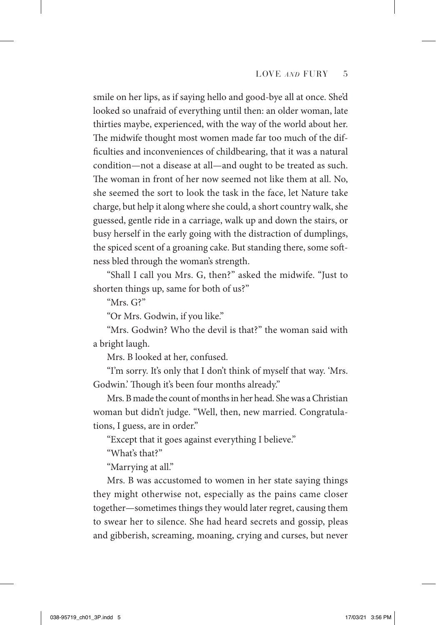smile on her lips, as if saying hello and good-bye all at once. She'd looked so unafraid of everything until then: an older woman, late thirties maybe, experienced, with the way of the world about her. The midwife thought most women made far too much of the difficulties and inconveniences of childbearing, that it was a natural condition—not a disease at all—and ought to be treated as such. The woman in front of her now seemed not like them at all. No, she seemed the sort to look the task in the face, let Nature take charge, but help it along where she could, a short country walk, she guessed, gentle ride in a carriage, walk up and down the stairs, or busy herself in the early going with the distraction of dumplings, the spiced scent of a groaning cake. But standing there, some softness bled through the woman's strength.

"Shall I call you Mrs. G, then?" asked the midwife. "Just to shorten things up, same for both of us?"

"Mrs. G?"

"Or Mrs. Godwin, if you like."

"Mrs. Godwin? Who the devil is that?" the woman said with a bright laugh.

Mrs. B looked at her, confused.

"I'm sorry. It's only that I don't think of myself that way. 'Mrs. Godwin.' Though it's been four months already."

Mrs. B made the count of months in her head. She was a Christian woman but didn't judge. "Well, then, new married. Congratulations, I guess, are in order."

"Except that it goes against everything I believe."

"What's that?"

"Marrying at all."

Mrs. B was accustomed to women in her state saying things they might otherwise not, especially as the pains came closer together—sometimes things they would later regret, causing them to swear her to silence. She had heard secrets and gossip, pleas and gibberish, screaming, moaning, crying and curses, but never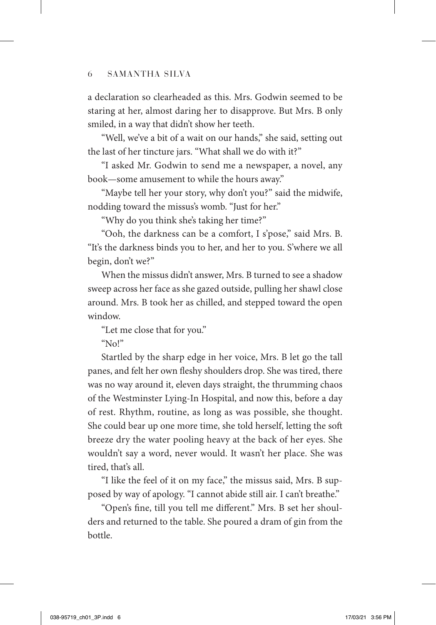a declaration so clearheaded as this. Mrs. Godwin seemed to be staring at her, almost daring her to disapprove. But Mrs. B only smiled, in a way that didn't show her teeth.

"Well, we've a bit of a wait on our hands," she said, setting out the last of her tincture jars. "What shall we do with it?"

"I asked Mr. Godwin to send me a newspaper, a novel, any book—some amusement to while the hours away."

"Maybe tell her your story, why don't you?" said the midwife, nodding toward the missus's womb. "Just for her."

"Why do you think she's taking her time?"

"Ooh, the darkness can be a comfort, I s'pose," said Mrs. B. "It's the darkness binds you to her, and her to you. S'where we all begin, don't we?"

When the missus didn't answer, Mrs. B turned to see a shadow sweep across her face as she gazed outside, pulling her shawl close around. Mrs. B took her as chilled, and stepped toward the open window.

"Let me close that for you."

" $N_0$ "

Startled by the sharp edge in her voice, Mrs. B let go the tall panes, and felt her own fleshy shoulders drop. She was tired, there was no way around it, eleven days straight, the thrumming chaos of the Westminster Lying-In Hospital, and now this, before a day of rest. Rhythm, routine, as long as was possible, she thought. She could bear up one more time, she told herself, letting the soft breeze dry the water pooling heavy at the back of her eyes. She wouldn't say a word, never would. It wasn't her place. She was tired, that's all.

"I like the feel of it on my face," the missus said, Mrs. B supposed by way of apology. "I cannot abide still air. I can't breathe."

"Open's fine, till you tell me different." Mrs. B set her shoulders and returned to the table. She poured a dram of gin from the bottle.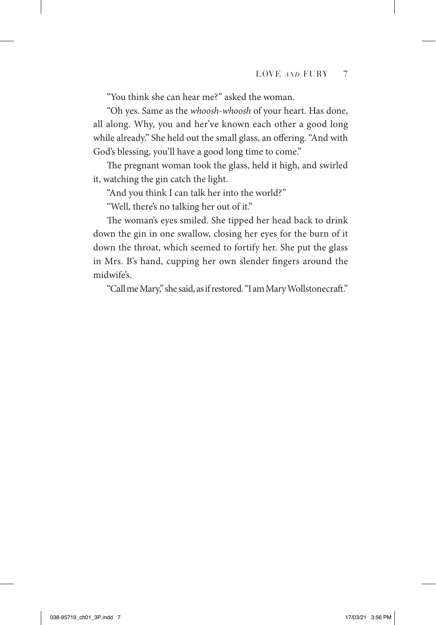"You think she can hear me?" asked the woman.

"Oh yes. Same as the *whoosh-whoosh* of your heart. Has done, all along. Why, you and her've known each other a good long while already." She held out the small glass, an offering. "And with God's blessing, you'll have a good long time to come."

The pregnant woman took the glass, held it high, and swirled it, watching the gin catch the light.

"And you think I can talk her into the world?"

"Well, there's no talking her out of it."

The woman's eyes smiled. She tipped her head back to drink down the gin in one swallow, closing her eyes for the burn of it down the throat, which seemed to fortify her. She put the glass in Mrs. B's hand, cupping her own slender fingers around the midwife's.

"Call me Mary," she said, as if restored. "I am Mary Wollstonecraft."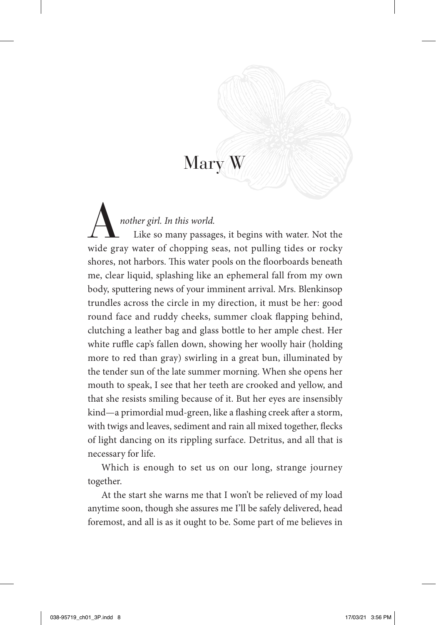# Mary W

A*nother girl. In this world.* Like so many passages, it begins with water. Not the wide gray water of chopping seas, not pulling tides or rocky shores, not harbors. This water pools on the floorboards beneath me, clear liquid, splashing like an ephemeral fall from my own body, sputtering news of your imminent arrival. Mrs. Blenkinsop trundles across the circle in my direction, it must be her: good round face and ruddy cheeks, summer cloak flapping behind, clutching a leather bag and glass bottle to her ample chest. Her white ruffle cap's fallen down, showing her woolly hair (holding more to red than gray) swirling in a great bun, illuminated by the tender sun of the late summer morning. When she opens her mouth to speak, I see that her teeth are crooked and yellow, and that she resists smiling because of it. But her eyes are insensibly kind—a primordial mud-green, like a flashing creek after a storm, with twigs and leaves, sediment and rain all mixed together, flecks of light dancing on its rippling surface. Detritus, and all that is necessary for life.

Which is enough to set us on our long, strange journey together.

At the start she warns me that I won't be relieved of my load anytime soon, though she assures me I'll be safely delivered, head foremost, and all is as it ought to be. Some part of me believes in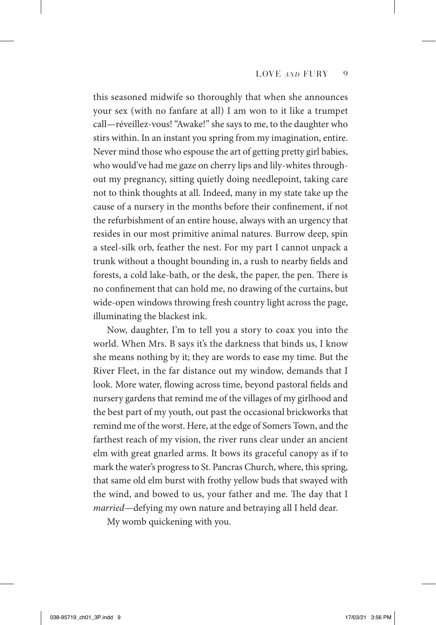this seasoned midwife so thoroughly that when she announces your sex (with no fanfare at all) I am won to it like a trumpet call—réveillez-vous! "Awake!" she says to me, to the daughter who stirs within. In an instant you spring from my imagination, entire. Never mind those who espouse the art of getting pretty girl babies, who would've had me gaze on cherry lips and lily-whites throughout my pregnancy, sitting quietly doing needlepoint, taking care not to think thoughts at all. Indeed, many in my state take up the cause of a nursery in the months before their confinement, if not the refurbishment of an entire house, always with an urgency that resides in our most primitive animal natures. Burrow deep, spin a steel-silk orb, feather the nest. For my part I cannot unpack a trunk without a thought bounding in, a rush to nearby fields and forests, a cold lake-bath, or the desk, the paper, the pen. There is no confinement that can hold me, no drawing of the curtains, but wide-open windows throwing fresh country light across the page, illuminating the blackest ink.

Now, daughter, I'm to tell you a story to coax you into the world. When Mrs. B says it's the darkness that binds us, I know she means nothing by it; they are words to ease my time. But the River Fleet, in the far distance out my window, demands that I look. More water, flowing across time, beyond pastoral fields and nursery gardens that remind me of the villages of my girlhood and the best part of my youth, out past the occasional brickworks that remind me of the worst. Here, at the edge of Somers Town, and the farthest reach of my vision, the river runs clear under an ancient elm with great gnarled arms. It bows its graceful canopy as if to mark the water's progress to St. Pancras Church, where, this spring, that same old elm burst with frothy yellow buds that swayed with the wind, and bowed to us, your father and me. The day that I *married*—defying my own nature and betraying all I held dear.

My womb quickening with you.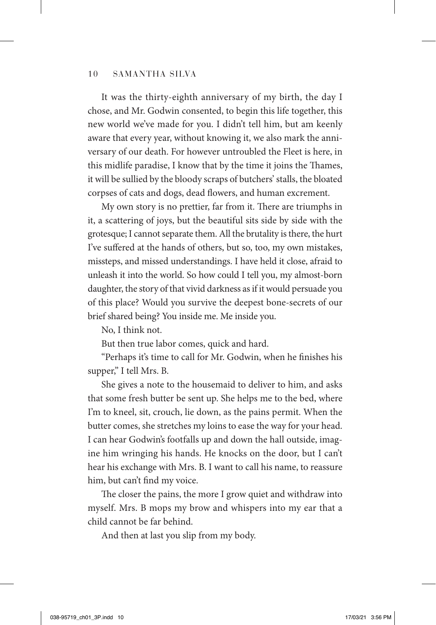It was the thirty-eighth anniversary of my birth, the day I chose, and Mr. Godwin consented, to begin this life together, this new world we've made for you. I didn't tell him, but am keenly aware that every year, without knowing it, we also mark the anniversary of our death. For however untroubled the Fleet is here, in this midlife paradise, I know that by the time it joins the Thames, it will be sullied by the bloody scraps of butchers' stalls, the bloated corpses of cats and dogs, dead flowers, and human excrement.

My own story is no prettier, far from it. There are triumphs in it, a scattering of joys, but the beautiful sits side by side with the grotesque; I cannot separate them. All the brutality is there, the hurt I've suffered at the hands of others, but so, too, my own mistakes, missteps, and missed understandings. I have held it close, afraid to unleash it into the world. So how could I tell you, my almost-born daughter, the story of that vivid darkness as if it would persuade you of this place? Would you survive the deepest bone-secrets of our brief shared being? You inside me. Me inside you.

No, I think not.

But then true labor comes, quick and hard.

"Perhaps it's time to call for Mr. Godwin, when he finishes his supper," I tell Mrs. B.

She gives a note to the housemaid to deliver to him, and asks that some fresh butter be sent up. She helps me to the bed, where I'm to kneel, sit, crouch, lie down, as the pains permit. When the butter comes, she stretches my loins to ease the way for your head. I can hear Godwin's footfalls up and down the hall outside, imagine him wringing his hands. He knocks on the door, but I can't hear his exchange with Mrs. B. I want to call his name, to reassure him, but can't find my voice.

The closer the pains, the more I grow quiet and withdraw into myself. Mrs. B mops my brow and whispers into my ear that a child cannot be far behind.

And then at last you slip from my body.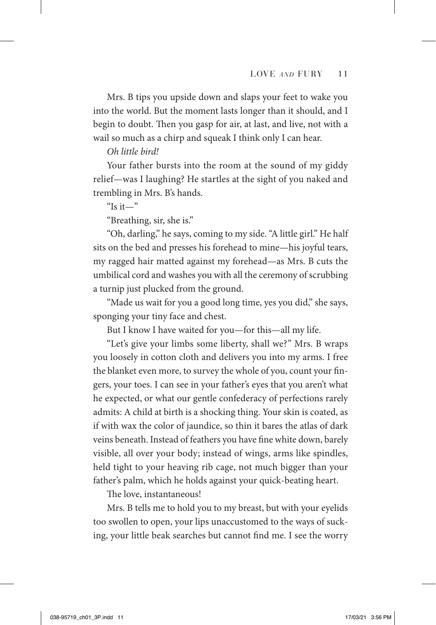Mrs. B tips you upside down and slaps your feet to wake you into the world. But the moment lasts longer than it should, and I begin to doubt. Then you gasp for air, at last, and live, not with a wail so much as a chirp and squeak I think only I can hear.

## *Oh little bird!*

Your father bursts into the room at the sound of my giddy relief—was I laughing? He startles at the sight of you naked and trembling in Mrs. B's hands.

 $\mathrm{H}_\mathrm{S}$  it—"

"Breathing, sir, she is."

"Oh, darling," he says, coming to my side. "A little girl." He half sits on the bed and presses his forehead to mine—his joyful tears, my ragged hair matted against my forehead—as Mrs. B cuts the umbilical cord and washes you with all the ceremony of scrubbing a turnip just plucked from the ground.

"Made us wait for you a good long time, yes you did," she says, sponging your tiny face and chest.

But I know I have waited for you—for this—all my life.

"Let's give your limbs some liberty, shall we?" Mrs. B wraps you loosely in cotton cloth and delivers you into my arms. I free the blanket even more, to survey the whole of you, count your fingers, your toes. I can see in your father's eyes that you aren't what he expected, or what our gentle confederacy of perfections rarely admits: A child at birth is a shocking thing. Your skin is coated, as if with wax the color of jaundice, so thin it bares the atlas of dark veins beneath. Instead of feathers you have fine white down, barely visible, all over your body; instead of wings, arms like spindles, held tight to your heaving rib cage, not much bigger than your father's palm, which he holds against your quick-beating heart.

The love, instantaneous!

Mrs. B tells me to hold you to my breast, but with your eyelids too swollen to open, your lips unaccustomed to the ways of sucking, your little beak searches but cannot find me. I see the worry